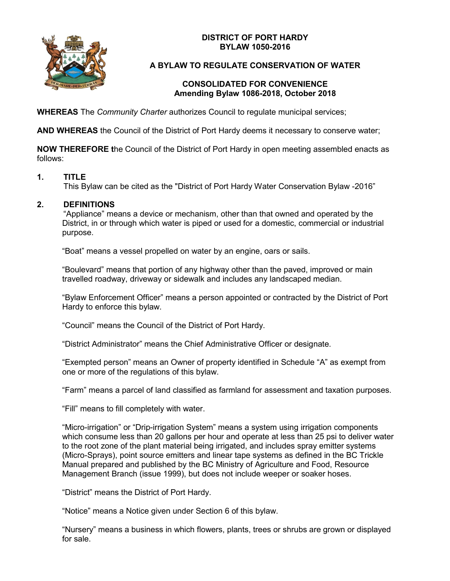**DISTRICT OF PORT HARDY BYLAW 1050-2016**



# **A BYLAW TO REGULATE CONSERVATION OF WATER**

#### **CONSOLIDATED FOR CONVENIENCE Amending Bylaw 1086-2018, October 2018**

**WHEREAS** The *Community Charter* authorizes Council to regulate municipal services;

**AND WHEREAS** the Council of the District of Port Hardy deems it necessary to conserve water;

**NOW THEREFORE t**he Council of the District of Port Hardy in open meeting assembled enacts as follows:

### **1. TITLE**

This Bylaw can be cited as the "District of Port Hardy Water Conservation Bylaw -2016"

### **2. DEFINITIONS**

"Appliance" means a device or mechanism, other than that owned and operated by the District, in or through which water is piped or used for a domestic, commercial or industrial purpose.

"Boat" means a vessel propelled on water by an engine, oars or sails.

"Boulevard" means that portion of any highway other than the paved, improved or main travelled roadway, driveway or sidewalk and includes any landscaped median.

"Bylaw Enforcement Officer" means a person appointed or contracted by the District of Port Hardy to enforce this bylaw.

"Council" means the Council of the District of Port Hardy.

"District Administrator" means the Chief Administrative Officer or designate.

"Exempted person" means an Owner of property identified in Schedule "A" as exempt from one or more of the regulations of this bylaw.

"Farm" means a parcel of land classified as farmland for assessment and taxation purposes.

"Fill" means to fill completely with water.

"Micro-irrigation" or "Drip-irrigation System" means a system using irrigation components which consume less than 20 gallons per hour and operate at less than 25 psi to deliver water to the root zone of the plant material being irrigated, and includes spray emitter systems (Micro-Sprays), point source emitters and linear tape systems as defined in the BC Trickle Manual prepared and published by the BC Ministry of Agriculture and Food, Resource Management Branch (issue 1999), but does not include weeper or soaker hoses.

"District" means the District of Port Hardy.

"Notice" means a Notice given under Section 6 of this bylaw.

"Nursery" means a business in which flowers, plants, trees or shrubs are grown or displayed for sale.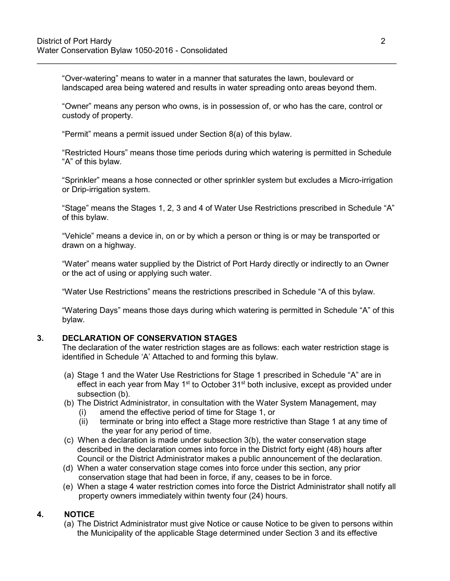"Over-watering" means to water in a manner that saturates the lawn, boulevard or landscaped area being watered and results in water spreading onto areas beyond them.

\_\_\_\_\_\_\_\_\_\_\_\_\_\_\_\_\_\_\_\_\_\_\_\_\_\_\_\_\_\_\_\_\_\_\_\_\_\_\_\_\_\_\_\_\_\_\_\_\_\_\_\_\_\_\_\_\_\_\_\_\_\_\_\_\_\_\_\_\_\_\_\_\_\_\_\_\_\_\_\_

"Owner" means any person who owns, is in possession of, or who has the care, control or custody of property.

"Permit" means a permit issued under Section 8(a) of this bylaw.

"Restricted Hours" means those time periods during which watering is permitted in Schedule "A" of this bylaw.

"Sprinkler" means a hose connected or other sprinkler system but excludes a Micro-irrigation or Drip-irrigation system.

"Stage" means the Stages 1, 2, 3 and 4 of Water Use Restrictions prescribed in Schedule "A" of this bylaw.

"Vehicle" means a device in, on or by which a person or thing is or may be transported or drawn on a highway.

"Water" means water supplied by the District of Port Hardy directly or indirectly to an Owner or the act of using or applying such water.

"Water Use Restrictions" means the restrictions prescribed in Schedule "A of this bylaw.

"Watering Days" means those days during which watering is permitted in Schedule "A" of this bylaw.

#### **3. DECLARATION OF CONSERVATION STAGES**

The declaration of the water restriction stages are as follows: each water restriction stage is identified in Schedule 'A' Attached to and forming this bylaw.

- (a) Stage 1 and the Water Use Restrictions for Stage 1 prescribed in Schedule "A" are in effect in each year from May  $1<sup>st</sup>$  to October  $31<sup>st</sup>$  both inclusive, except as provided under subsection (b).
- (b) The District Administrator, in consultation with the Water System Management, may
	- (i) amend the effective period of time for Stage 1, or
	- (ii) terminate or bring into effect a Stage more restrictive than Stage 1 at any time of the year for any period of time.
- (c) When a declaration is made under subsection 3(b), the water conservation stage described in the declaration comes into force in the District forty eight (48) hours after Council or the District Administrator makes a public announcement of the declaration.
- (d) When a water conservation stage comes into force under this section, any prior conservation stage that had been in force, if any, ceases to be in force.
- (e) When a stage 4 water restriction comes into force the District Administrator shall notify all property owners immediately within twenty four (24) hours.

# **4. NOTICE**

(a) The District Administrator must give Notice or cause Notice to be given to persons within the Municipality of the applicable Stage determined under Section 3 and its effective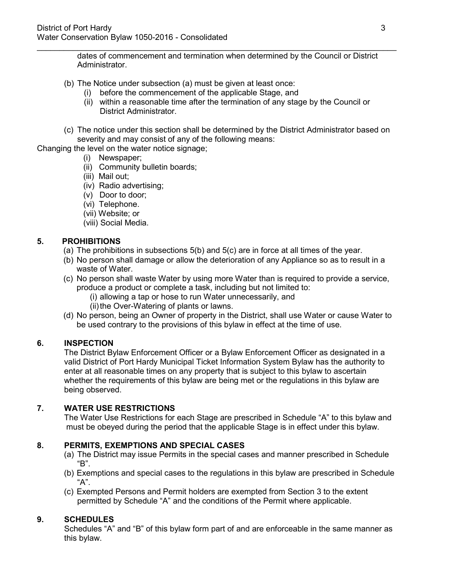\_\_\_\_\_\_\_\_\_\_\_\_\_\_\_\_\_\_\_\_\_\_\_\_\_\_\_\_\_\_\_\_\_\_\_\_\_\_\_\_\_\_\_\_\_\_\_\_\_\_\_\_\_\_\_\_\_\_\_\_\_\_\_\_\_\_\_\_\_\_\_\_\_\_\_\_\_\_\_\_ dates of commencement and termination when determined by the Council or District Administrator.

- (b) The Notice under subsection (a) must be given at least once:
	- (i) before the commencement of the applicable Stage, and
	- (ii) within a reasonable time after the termination of any stage by the Council or District Administrator.
- (c) The notice under this section shall be determined by the District Administrator based on severity and may consist of any of the following means:

Changing the level on the water notice signage;

- (i) Newspaper;
- (ii) Community bulletin boards;
- (iii) Mail out;
- (iv) Radio advertising;
- (v) Door to door;
- (vi) Telephone.
- (vii) Website; or
- (viii) Social Media.

#### **5. PROHIBITIONS**

- (a) The prohibitions in subsections 5(b) and 5(c) are in force at all times of the year.
- (b) No person shall damage or allow the deterioration of any Appliance so as to result in a waste of Water.
- (c) No person shall waste Water by using more Water than is required to provide a service, produce a product or complete a task, including but not limited to:
	- (i) allowing a tap or hose to run Water unnecessarily, and
	- (ii) the Over-Watering of plants or lawns.
- (d) No person, being an Owner of property in the District, shall use Water or cause Water to be used contrary to the provisions of this bylaw in effect at the time of use.

#### **6. INSPECTION**

The District Bylaw Enforcement Officer or a Bylaw Enforcement Officer as designated in a valid District of Port Hardy Municipal Ticket Information System Bylaw has the authority to enter at all reasonable times on any property that is subject to this bylaw to ascertain whether the requirements of this bylaw are being met or the regulations in this bylaw are being observed.

#### **7. WATER USE RESTRICTIONS**

The Water Use Restrictions for each Stage are prescribed in Schedule "A" to this bylaw and must be obeyed during the period that the applicable Stage is in effect under this bylaw.

#### **8. PERMITS, EXEMPTIONS AND SPECIAL CASES**

- (a) The District may issue Permits in the special cases and manner prescribed in Schedule "B".
- (b) Exemptions and special cases to the regulations in this bylaw are prescribed in Schedule "A".
- (c) Exempted Persons and Permit holders are exempted from Section 3 to the extent permitted by Schedule "A" and the conditions of the Permit where applicable.

#### **9. SCHEDULES**

Schedules "A" and "B" of this bylaw form part of and are enforceable in the same manner as this bylaw.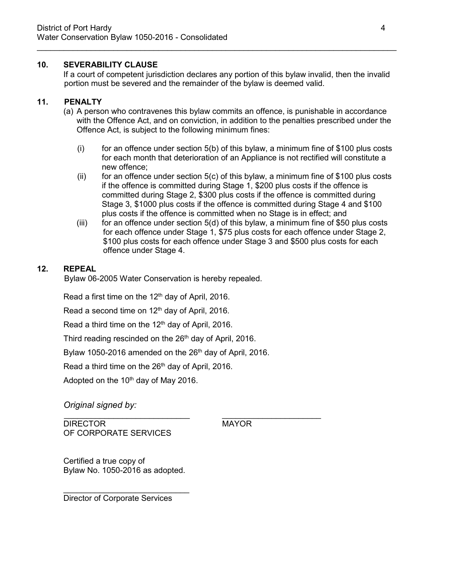### **10. SEVERABILITY CLAUSE**

If a court of competent jurisdiction declares any portion of this bylaw invalid, then the invalid portion must be severed and the remainder of the bylaw is deemed valid.

\_\_\_\_\_\_\_\_\_\_\_\_\_\_\_\_\_\_\_\_\_\_\_\_\_\_\_\_\_\_\_\_\_\_\_\_\_\_\_\_\_\_\_\_\_\_\_\_\_\_\_\_\_\_\_\_\_\_\_\_\_\_\_\_\_\_\_\_\_\_\_\_\_\_\_\_\_\_\_\_

# **11. PENALTY**

- (a) A person who contravenes this bylaw commits an offence, is punishable in accordance with the Offence Act, and on conviction, in addition to the penalties prescribed under the Offence Act, is subject to the following minimum fines:
	- $(i)$  for an offence under section  $5(b)$  of this bylaw, a minimum fine of \$100 plus costs for each month that deterioration of an Appliance is not rectified will constitute a new offence;
	- (ii) for an offence under section  $5(c)$  of this bylaw, a minimum fine of \$100 plus costs if the offence is committed during Stage 1, \$200 plus costs if the offence is committed during Stage 2, \$300 plus costs if the offence is committed during Stage 3, \$1000 plus costs if the offence is committed during Stage 4 and \$100 plus costs if the offence is committed when no Stage is in effect; and
	- (iii) for an offence under section 5(d) of this bylaw, a minimum fine of \$50 plus costs for each offence under Stage 1, \$75 plus costs for each offence under Stage 2, \$100 plus costs for each offence under Stage 3 and \$500 plus costs for each offence under Stage 4.

# **12. REPEAL**

Bylaw 06-2005 Water Conservation is hereby repealed.

Read a first time on the 12<sup>th</sup> day of April, 2016.

Read a second time on 12<sup>th</sup> day of April, 2016.

Read a third time on the 12<sup>th</sup> day of April, 2016.

Third reading rescinded on the 26<sup>th</sup> day of April, 2016.

Bylaw 1050-2016 amended on the  $26<sup>th</sup>$  day of April, 2016.

Read a third time on the 26<sup>th</sup> day of April, 2016.

Adopted on the  $10<sup>th</sup>$  day of May 2016.

*Original signed by:*

DIRECTOR MAYOR OF CORPORATE SERVICES

\_\_\_\_\_\_\_\_\_\_\_\_\_\_\_\_\_\_\_\_\_\_\_\_\_\_\_\_ \_\_\_\_\_\_\_\_\_\_\_\_\_\_\_\_\_\_\_\_\_\_

Certified a true copy of Bylaw No. 1050-2016 as adopted.

\_\_\_\_\_\_\_\_\_\_\_\_\_\_\_\_\_\_\_\_\_\_\_\_\_\_\_\_

Director of Corporate Services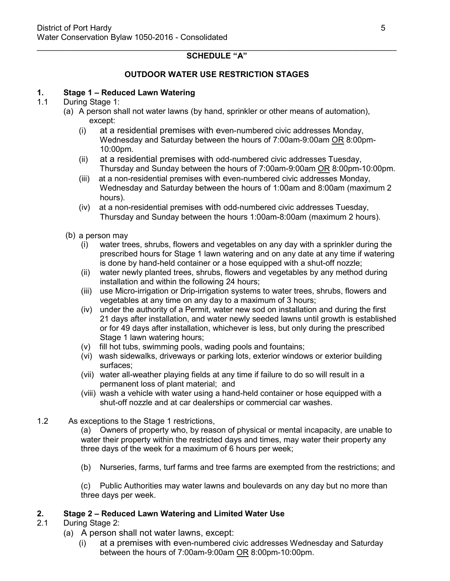#### \_\_\_\_\_\_\_\_\_\_\_\_\_\_\_\_\_\_\_\_\_\_\_\_\_\_\_\_\_\_\_\_\_\_\_\_\_\_\_\_\_\_\_\_\_\_\_\_\_\_\_\_\_\_\_\_\_\_\_\_\_\_\_\_\_\_\_\_\_\_\_\_\_\_\_\_\_\_\_\_ **SCHEDULE "A"**

# **OUTDOOR WATER USE RESTRICTION STAGES**

### **1. Stage 1 – Reduced Lawn Watering**

### 1.1 During Stage 1:

- (a) A person shall not water lawns (by hand, sprinkler or other means of automation), except:
	- (i) at a residential premises with even-numbered civic addresses Monday, Wednesday and Saturday between the hours of 7:00am-9:00am OR 8:00pm-10:00pm.
	- (ii) at a residential premises with odd-numbered civic addresses Tuesday, Thursday and Sunday between the hours of 7:00am-9:00am OR 8:00pm-10:00pm.
	- (iii) at a non-residential premises with even-numbered civic addresses Monday, Wednesday and Saturday between the hours of 1:00am and 8:00am (maximum 2 hours).
	- (iv) at a non-residential premises with odd-numbered civic addresses Tuesday, Thursday and Sunday between the hours 1:00am-8:00am (maximum 2 hours).
- (b) a person may
	- (i) water trees, shrubs, flowers and vegetables on any day with a sprinkler during the prescribed hours for Stage 1 lawn watering and on any date at any time if watering is done by hand-held container or a hose equipped with a shut-off nozzle;
	- (ii) water newly planted trees, shrubs, flowers and vegetables by any method during installation and within the following 24 hours;
	- (iii) use Micro-irrigation or Drip-irrigation systems to water trees, shrubs, flowers and vegetables at any time on any day to a maximum of 3 hours;
	- (iv) under the authority of a Permit, water new sod on installation and during the first 21 days after installation, and water newly seeded lawns until growth is established or for 49 days after installation, whichever is less, but only during the prescribed Stage 1 lawn watering hours;
	- (v) fill hot tubs, swimming pools, wading pools and fountains;
	- (vi) wash sidewalks, driveways or parking lots, exterior windows or exterior building surfaces;
	- (vii) water all-weather playing fields at any time if failure to do so will result in a permanent loss of plant material; and
	- (viii) wash a vehicle with water using a hand-held container or hose equipped with a shut-off nozzle and at car dealerships or commercial car washes.
- 1.2 As exceptions to the Stage 1 restrictions,
	- (a) Owners of property who, by reason of physical or mental incapacity, are unable to water their property within the restricted days and times, may water their property any three days of the week for a maximum of 6 hours per week;
	- (b) Nurseries, farms, turf farms and tree farms are exempted from the restrictions; and

(c) Public Authorities may water lawns and boulevards on any day but no more than three days per week.

#### **2. Stage 2 – Reduced Lawn Watering and Limited Water Use**

- 2.1 During Stage 2:
	- (a) A person shall not water lawns, except:
		- (i) at a premises with even-numbered civic addresses Wednesday and Saturday between the hours of 7:00am-9:00am OR 8:00pm-10:00pm.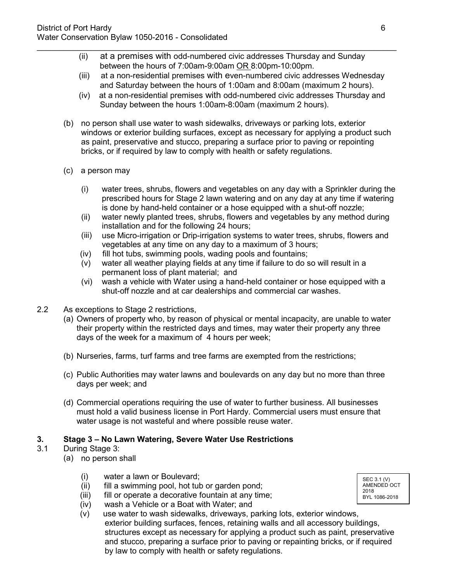(ii) at a premises with odd-numbered civic addresses Thursday and Sunday between the hours of 7:00am-9:00am OR 8:00pm-10:00pm.

\_\_\_\_\_\_\_\_\_\_\_\_\_\_\_\_\_\_\_\_\_\_\_\_\_\_\_\_\_\_\_\_\_\_\_\_\_\_\_\_\_\_\_\_\_\_\_\_\_\_\_\_\_\_\_\_\_\_\_\_\_\_\_\_\_\_\_\_\_\_\_\_\_\_\_\_\_\_\_\_

- (iii) at a non-residential premises with even-numbered civic addresses Wednesday and Saturday between the hours of 1:00am and 8:00am (maximum 2 hours).
- (iv) at a non-residential premises with odd-numbered civic addresses Thursday and Sunday between the hours 1:00am-8:00am (maximum 2 hours).
- (b) no person shall use water to wash sidewalks, driveways or parking lots, exterior windows or exterior building surfaces, except as necessary for applying a product such as paint, preservative and stucco, preparing a surface prior to paving or repointing bricks, or if required by law to comply with health or safety regulations.
- (c) a person may
	- (i) water trees, shrubs, flowers and vegetables on any day with a Sprinkler during the prescribed hours for Stage 2 lawn watering and on any day at any time if watering is done by hand-held container or a hose equipped with a shut-off nozzle;
	- (ii) water newly planted trees, shrubs, flowers and vegetables by any method during installation and for the following 24 hours;
	- (iii) use Micro-irrigation or Drip-irrigation systems to water trees, shrubs, flowers and vegetables at any time on any day to a maximum of 3 hours;
	- (iv) fill hot tubs, swimming pools, wading pools and fountains;
	- (v) water all weather playing fields at any time if failure to do so will result in a permanent loss of plant material; and
	- (vi) wash a vehicle with Water using a hand-held container or hose equipped with a shut-off nozzle and at car dealerships and commercial car washes.
- 2.2 As exceptions to Stage 2 restrictions,
	- (a) Owners of property who, by reason of physical or mental incapacity, are unable to water their property within the restricted days and times, may water their property any three days of the week for a maximum of 4 hours per week;
	- (b) Nurseries, farms, turf farms and tree farms are exempted from the restrictions;
	- (c) Public Authorities may water lawns and boulevards on any day but no more than three days per week; and
	- (d) Commercial operations requiring the use of water to further business. All businesses must hold a valid business license in Port Hardy. Commercial users must ensure that water usage is not wasteful and where possible reuse water.

# **3. Stage 3 – No Lawn Watering, Severe Water Use Restrictions**

- 3.1 During Stage 3:
	- (a) no person shall
		- (i) water a lawn or Boulevard;
		- (ii) fill a swimming pool, hot tub or garden pond;
		- (iii) fill or operate a decorative fountain at any time;
		- (iv) wash a Vehicle or a Boat with Water; and
		- (v) use water to wash sidewalks, driveways, parking lots, exterior windows, exterior building surfaces, fences, retaining walls and all accessory buildings, structures except as necessary for applying a product such as paint, preservative and stucco, preparing a surface prior to paving or repainting bricks, or if required by law to comply with health or safety regulations.

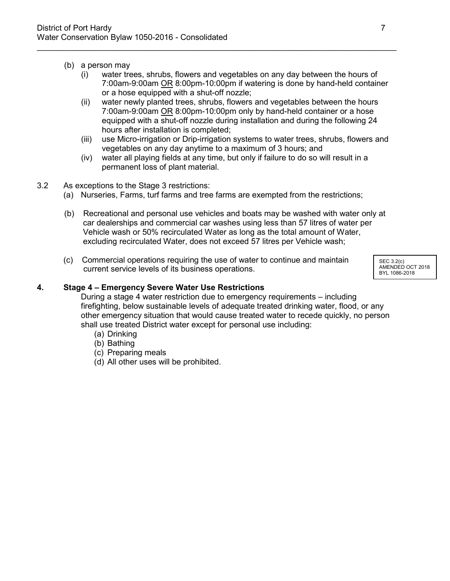- (b) a person may
	- (i) water trees, shrubs, flowers and vegetables on any day between the hours of 7:00am-9:00am OR 8:00pm-10:00pm if watering is done by hand-held container or a hose equipped with a shut-off nozzle;

\_\_\_\_\_\_\_\_\_\_\_\_\_\_\_\_\_\_\_\_\_\_\_\_\_\_\_\_\_\_\_\_\_\_\_\_\_\_\_\_\_\_\_\_\_\_\_\_\_\_\_\_\_\_\_\_\_\_\_\_\_\_\_\_\_\_\_\_\_\_\_\_\_\_\_\_\_\_\_\_

- (ii) water newly planted trees, shrubs, flowers and vegetables between the hours 7:00am-9:00am OR 8:00pm-10:00pm only by hand-held container or a hose equipped with a shut-off nozzle during installation and during the following 24 hours after installation is completed;
- (iii) use Micro-irrigation or Drip-irrigation systems to water trees, shrubs, flowers and vegetables on any day anytime to a maximum of 3 hours; and
- (iv) water all playing fields at any time, but only if failure to do so will result in a permanent loss of plant material.
- 3.2 As exceptions to the Stage 3 restrictions:
	- (a) Nurseries, Farms, turf farms and tree farms are exempted from the restrictions;
	- (b) Recreational and personal use vehicles and boats may be washed with water only at car dealerships and commercial car washes using less than 57 litres of water per Vehicle wash or 50% recirculated Water as long as the total amount of Water, excluding recirculated Water, does not exceed 57 litres per Vehicle wash;
	- (c) Commercial operations requiring the use of water to continue and maintain current service levels of its business operations.

SEC 3.2(c) AMENDED OCT 2018 BYL 1086-2018

#### **4. Stage 4 – Emergency Severe Water Use Restrictions**

During a stage 4 water restriction due to emergency requirements – including firefighting, below sustainable levels of adequate treated drinking water, flood, or any other emergency situation that would cause treated water to recede quickly, no person shall use treated District water except for personal use including:

- (a) Drinking
- (b) Bathing
- (c) Preparing meals
- (d) All other uses will be prohibited.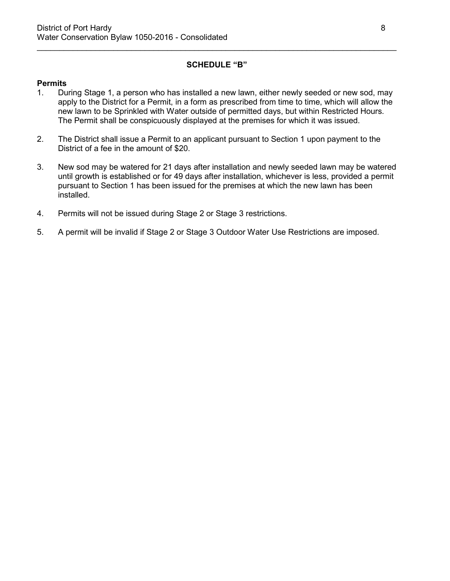# **SCHEDULE "B"**

\_\_\_\_\_\_\_\_\_\_\_\_\_\_\_\_\_\_\_\_\_\_\_\_\_\_\_\_\_\_\_\_\_\_\_\_\_\_\_\_\_\_\_\_\_\_\_\_\_\_\_\_\_\_\_\_\_\_\_\_\_\_\_\_\_\_\_\_\_\_\_\_\_\_\_\_\_\_\_\_

#### **Permits**

- 1. During Stage 1, a person who has installed a new lawn, either newly seeded or new sod, may apply to the District for a Permit, in a form as prescribed from time to time, which will allow the new lawn to be Sprinkled with Water outside of permitted days, but within Restricted Hours. The Permit shall be conspicuously displayed at the premises for which it was issued.
- 2. The District shall issue a Permit to an applicant pursuant to Section 1 upon payment to the District of a fee in the amount of \$20.
- 3. New sod may be watered for 21 days after installation and newly seeded lawn may be watered until growth is established or for 49 days after installation, whichever is less, provided a permit pursuant to Section 1 has been issued for the premises at which the new lawn has been installed.
- 4. Permits will not be issued during Stage 2 or Stage 3 restrictions.
- 5. A permit will be invalid if Stage 2 or Stage 3 Outdoor Water Use Restrictions are imposed.